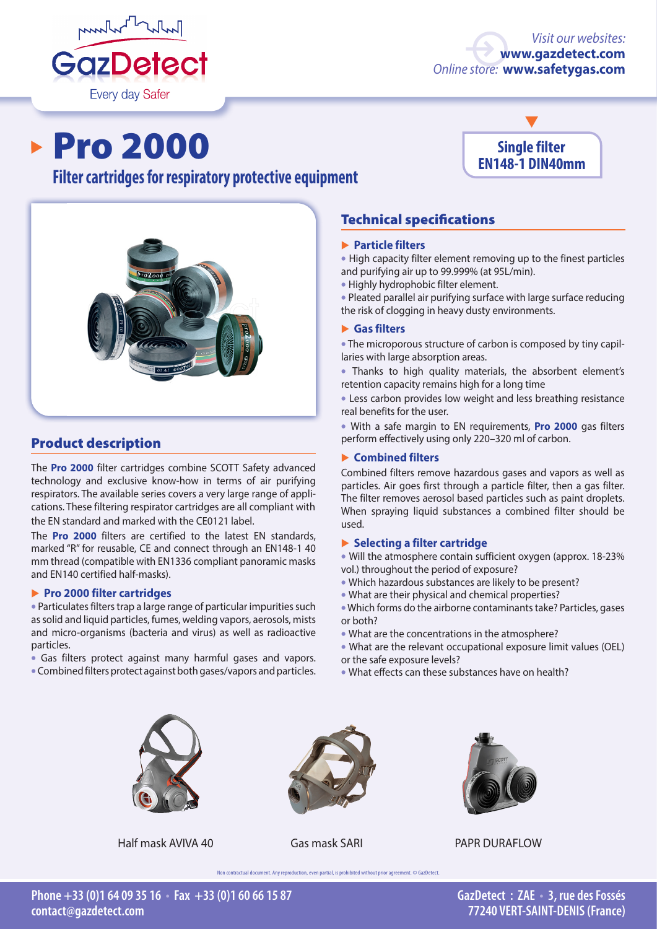

# *Visit our websites:* **[www.gazdetect.com](http://en.gazdetect.com
)** *Online store:* **[www.safetygas.com](http://en.safetygas.com)**

▸

# **Pro 2000**

# **Filter cartridges for respiratory protective equipment**



# Product description

The **Pro 2000** filter cartridges combine SCOTT Safety advanced technology and exclusive know-how in terms of air purifying respirators. The available series covers a very large range of applications. These filtering respirator cartridges are all compliant with the EN standard and marked with the CE0121 label.

The **Pro 2000** filters are certified to the latest EN standards, marked "R" for reusable, CE and connect through an EN148-1 40 mm thread (compatible with EN1336 compliant panoramic masks and EN140 certified half-masks).

#### � **Pro 2000 filter cartridges**

• Particulates filters trap a large range of particular impurities such as solid and liquid particles, fumes, welding vapors, aerosols, mists and micro-organisms (bacteria and virus) as well as radioactive particles.

• Gas filters protect against many harmful gases and vapors.

• Combined filters protect against both gases/vapors and particles.

# **Single filter EN148-1 DIN40mm**

# Technical specifications

#### � **Particle filters**

• High capacity filter element removing up to the finest particles and purifying air up to 99.999% (at 95L/min).

• Highly hydrophobic filter element.

• Pleated parallel air purifying surface with large surface reducing the risk of clogging in heavy dusty environments.

## � **Gas filters**

• The microporous structure of carbon is composed by tiny capillaries with large absorption areas.

• Thanks to high quality materials, the absorbent element's retention capacity remains high for a long time

• Less carbon provides low weight and less breathing resistance real benefits for the user.

• With a safe margin to EN requirements, **Pro 2000** gas filters perform effectively using only 220–320 ml of carbon.

## � **Combined filters**

Combined filters remove hazardous gases and vapors as well as particles. Air goes first through a particle filter, then a gas filter. The filter removes aerosol based particles such as paint droplets. When spraying liquid substances a combined filter should be used.

#### � **Selecting a filter cartridge**

• Will the atmosphere contain sufficient oxygen (approx. 18-23% vol.) throughout the period of exposure?

- Which hazardous substances are likely to be present?
- What are their physical and chemical properties?
- Which forms do the airborne contaminants take? Particles, gases or both?
- What are the concentrations in the atmosphere?
- What are the relevant occupational exposure limit values (OEL) or the safe exposure levels?
- What effects can these substances have on health?





ual document. Any reproduction, even partial, is prohibited without prior agreement. © GazDetect



Half mask AVIVA 40 Gas mask SARI PAPR DURAFLOW

**GazDetect : ZAE • 3, rue des Fossés 77240 VERT-SAINT-DENIS (France)**